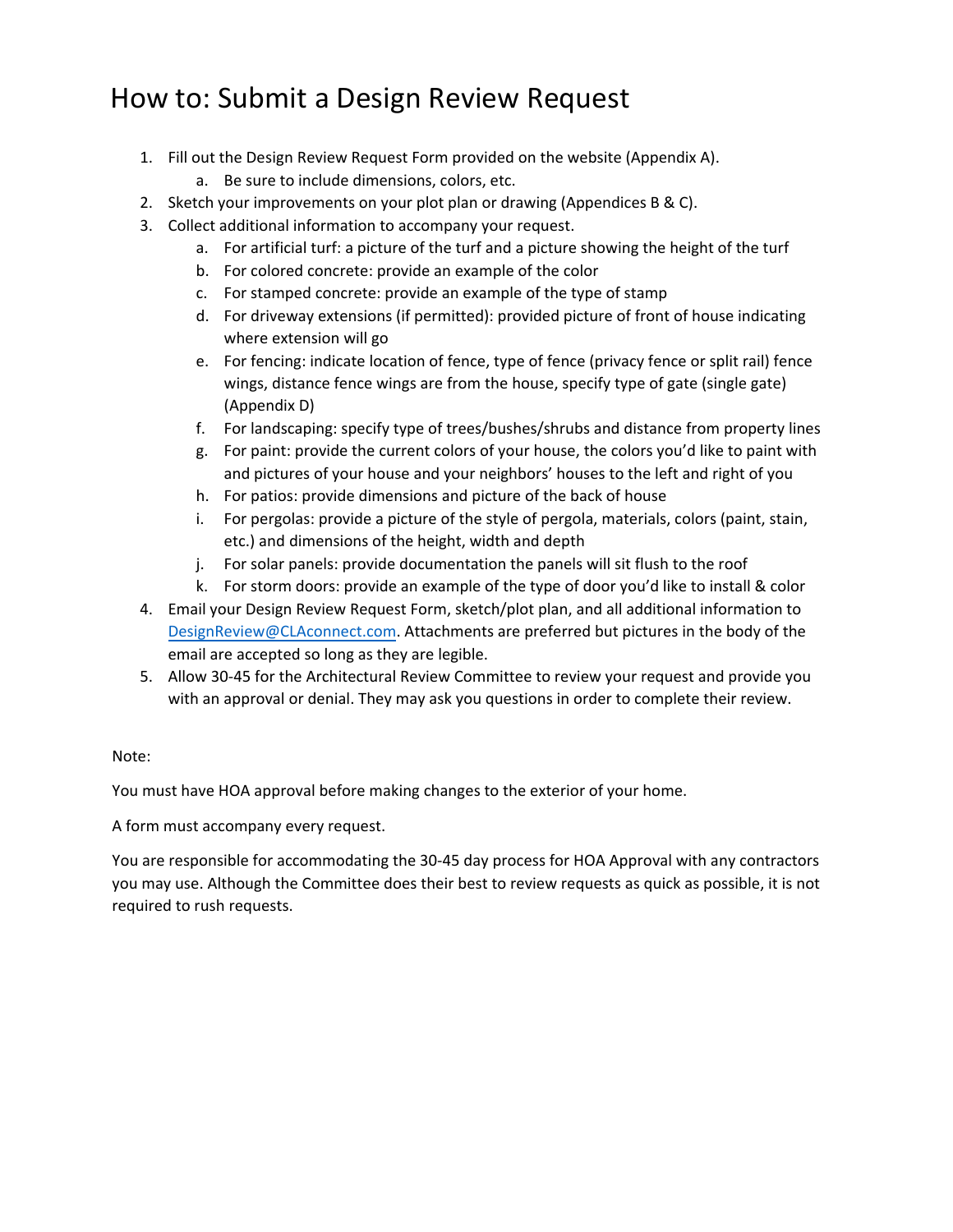### How to: Submit a Design Review Request

- 1. Fill out the Design Review Request Form provided on the website (Appendix A).
	- a. Be sure to include dimensions, colors, etc.
- 2. Sketch your improvements on your plot plan or drawing (Appendices B & C).
- 3. Collect additional information to accompany your request.
	- a. For artificial turf: a picture of the turf and a picture showing the height of the turf
	- b. For colored concrete: provide an example of the color
	- c. For stamped concrete: provide an example of the type of stamp
	- d. For driveway extensions (if permitted): provided picture of front of house indicating where extension will go
	- e. For fencing: indicate location of fence, type of fence (privacy fence or split rail) fence wings, distance fence wings are from the house, specify type of gate (single gate) (Appendix D)
	- f. For landscaping: specify type of trees/bushes/shrubs and distance from property lines
	- g. For paint: provide the current colors of your house, the colors you'd like to paint with and pictures of your house and your neighbors' houses to the left and right of you
	- h. For patios: provide dimensions and picture of the back of house
	- i. For pergolas: provide a picture of the style of pergola, materials, colors (paint, stain, etc.) and dimensions of the height, width and depth
	- j. For solar panels: provide documentation the panels will sit flush to the roof
	- k. For storm doors: provide an example of the type of door you'd like to install & color
- 4. Email your Design Review Request Form, sketch/plot plan, and all additional information to DesignReview@CLAconnect.com. Attachments are preferred but pictures in the body of the email are accepted so long as they are legible.
- 5. Allow 30-45 for the Architectural Review Committee to review your request and provide you with an approval or denial. They may ask you questions in order to complete their review.

#### Note:

You must have HOA approval before making changes to the exterior of your home.

A form must accompany every request.

You are responsible for accommodating the 30‐45 day process for HOA Approval with any contractors you may use. Although the Committee does their best to review requests as quick as possible, it is not required to rush requests.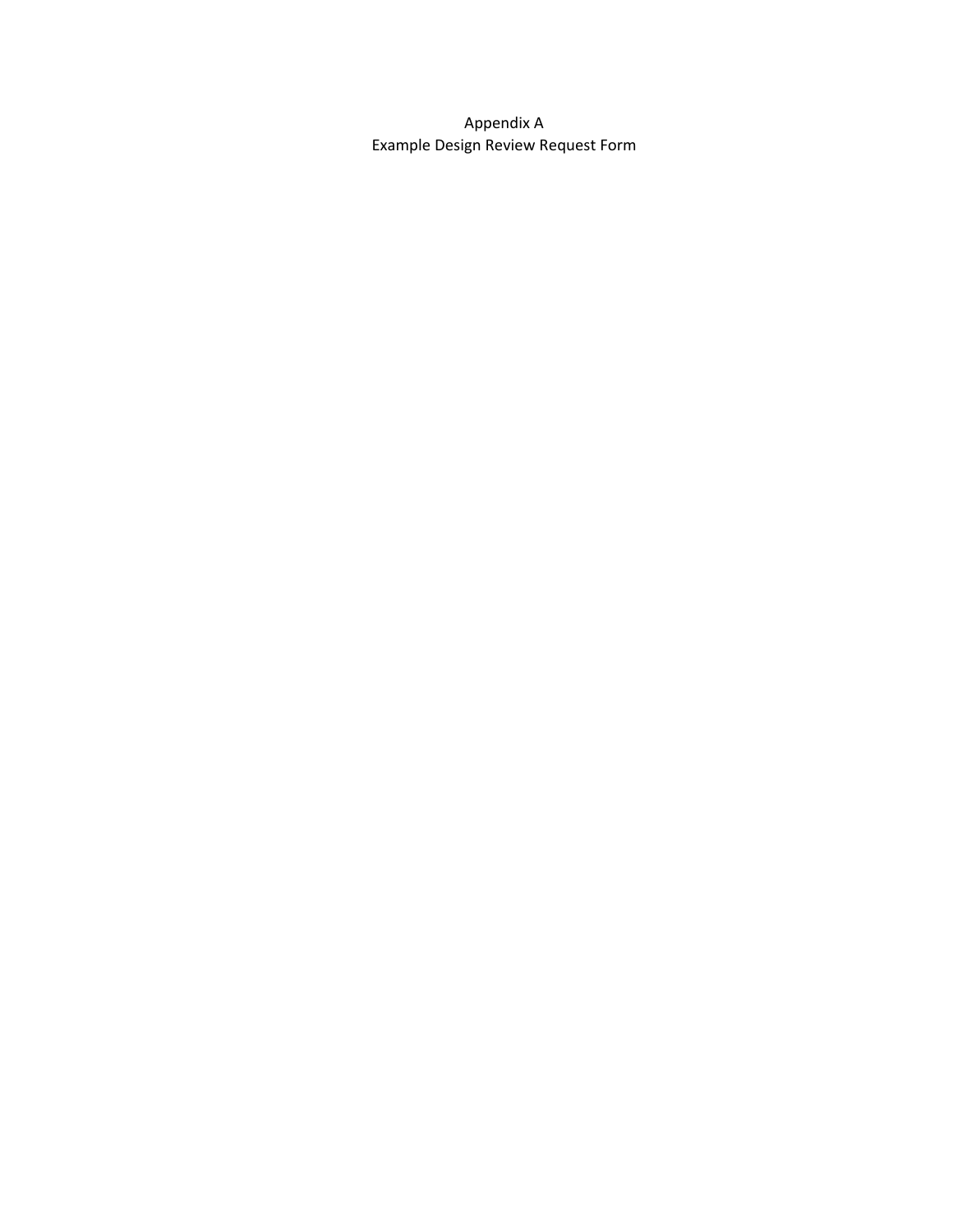Appendix A Example Design Review Request Form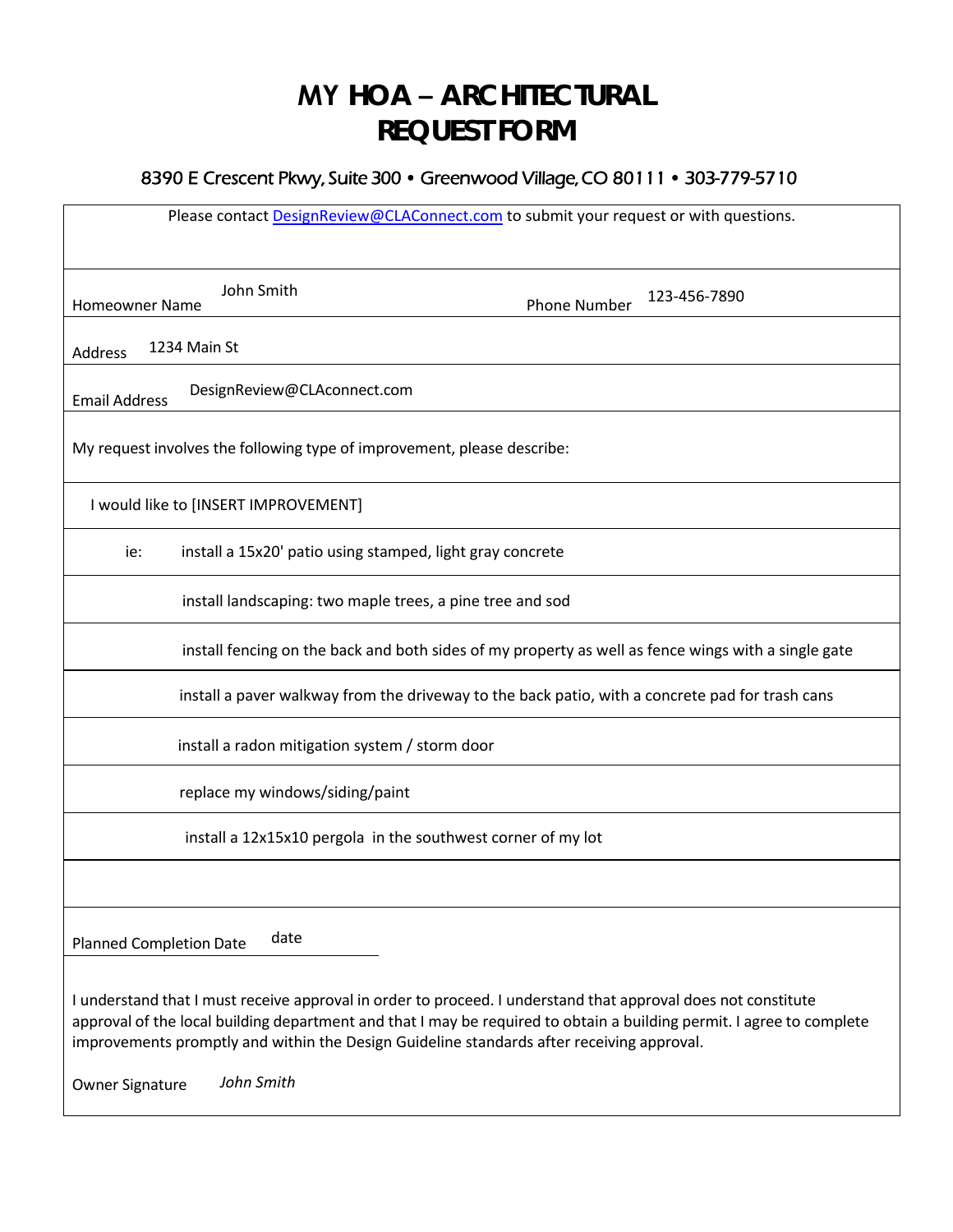## **MY HOA – ARCHITECTURAL REQUEST FORM**

#### 8390 E Crescent Pkwy, Suite 300 • Greenwood Village, CO 80111 • 303-779-5710

| Please contact <b>DesignReview@CLAConnect.com</b> to submit your request or with questions.                                                                                                                                                                                                                                                                          |
|----------------------------------------------------------------------------------------------------------------------------------------------------------------------------------------------------------------------------------------------------------------------------------------------------------------------------------------------------------------------|
|                                                                                                                                                                                                                                                                                                                                                                      |
| John Smith<br>123-456-7890<br><b>Phone Number</b><br><b>Homeowner Name</b>                                                                                                                                                                                                                                                                                           |
| 1234 Main St<br>Address                                                                                                                                                                                                                                                                                                                                              |
| DesignReview@CLAconnect.com<br><b>Email Address</b>                                                                                                                                                                                                                                                                                                                  |
| My request involves the following type of improvement, please describe:                                                                                                                                                                                                                                                                                              |
| I would like to [INSERT IMPROVEMENT]                                                                                                                                                                                                                                                                                                                                 |
| install a 15x20' patio using stamped, light gray concrete<br>ie:                                                                                                                                                                                                                                                                                                     |
| install landscaping: two maple trees, a pine tree and sod                                                                                                                                                                                                                                                                                                            |
| install fencing on the back and both sides of my property as well as fence wings with a single gate                                                                                                                                                                                                                                                                  |
| install a paver walkway from the driveway to the back patio, with a concrete pad for trash cans                                                                                                                                                                                                                                                                      |
| install a radon mitigation system / storm door                                                                                                                                                                                                                                                                                                                       |
| replace my windows/siding/paint                                                                                                                                                                                                                                                                                                                                      |
| install a 12x15x10 pergola in the southwest corner of my lot                                                                                                                                                                                                                                                                                                         |
|                                                                                                                                                                                                                                                                                                                                                                      |
| date<br><b>Planned Completion Date</b>                                                                                                                                                                                                                                                                                                                               |
| I understand that I must receive approval in order to proceed. I understand that approval does not constitute<br>approval of the local building department and that I may be required to obtain a building permit. I agree to complete<br>improvements promptly and within the Design Guideline standards after receiving approval.<br>John Smith<br>Owner Signature |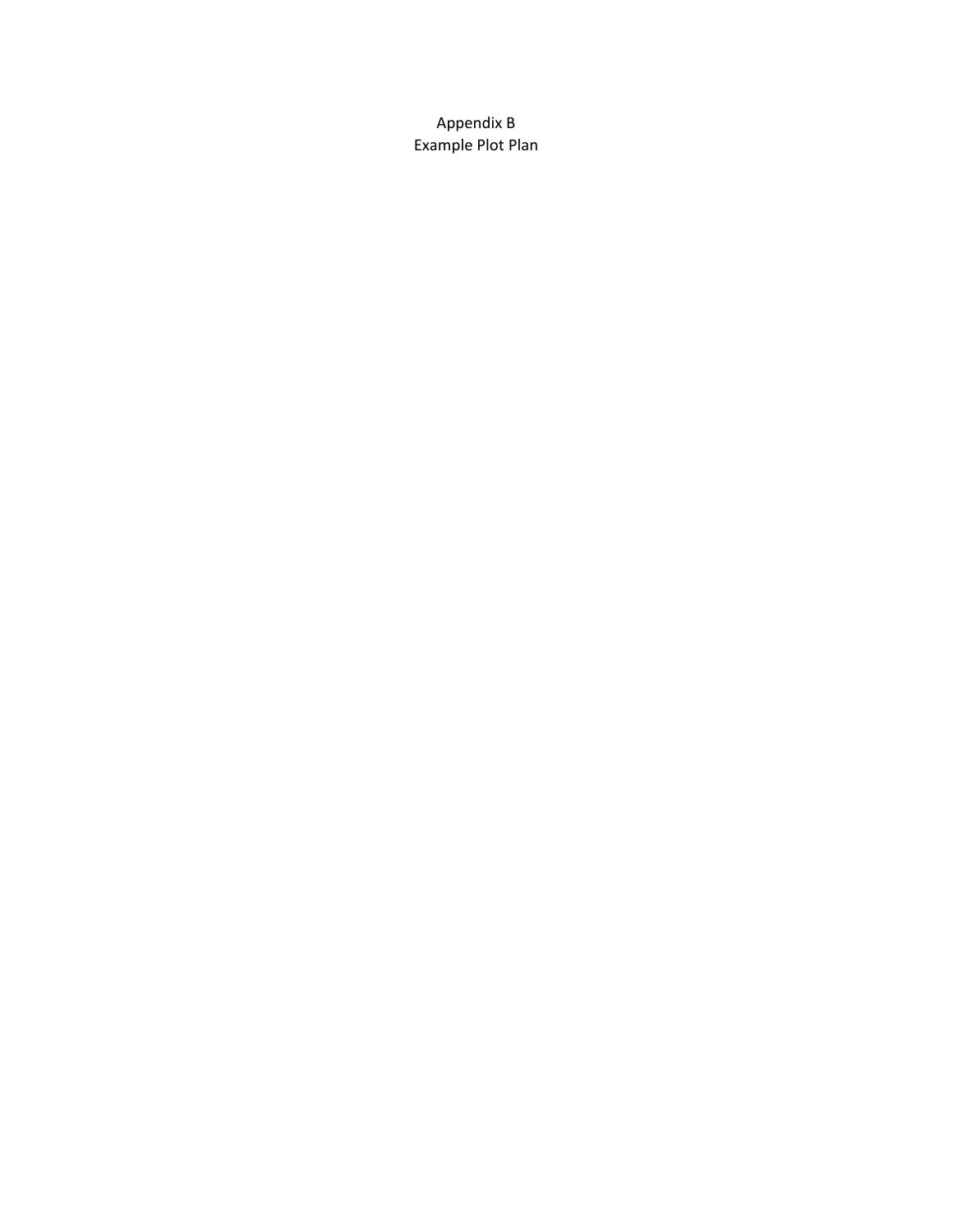Appendix B Example Plot Plan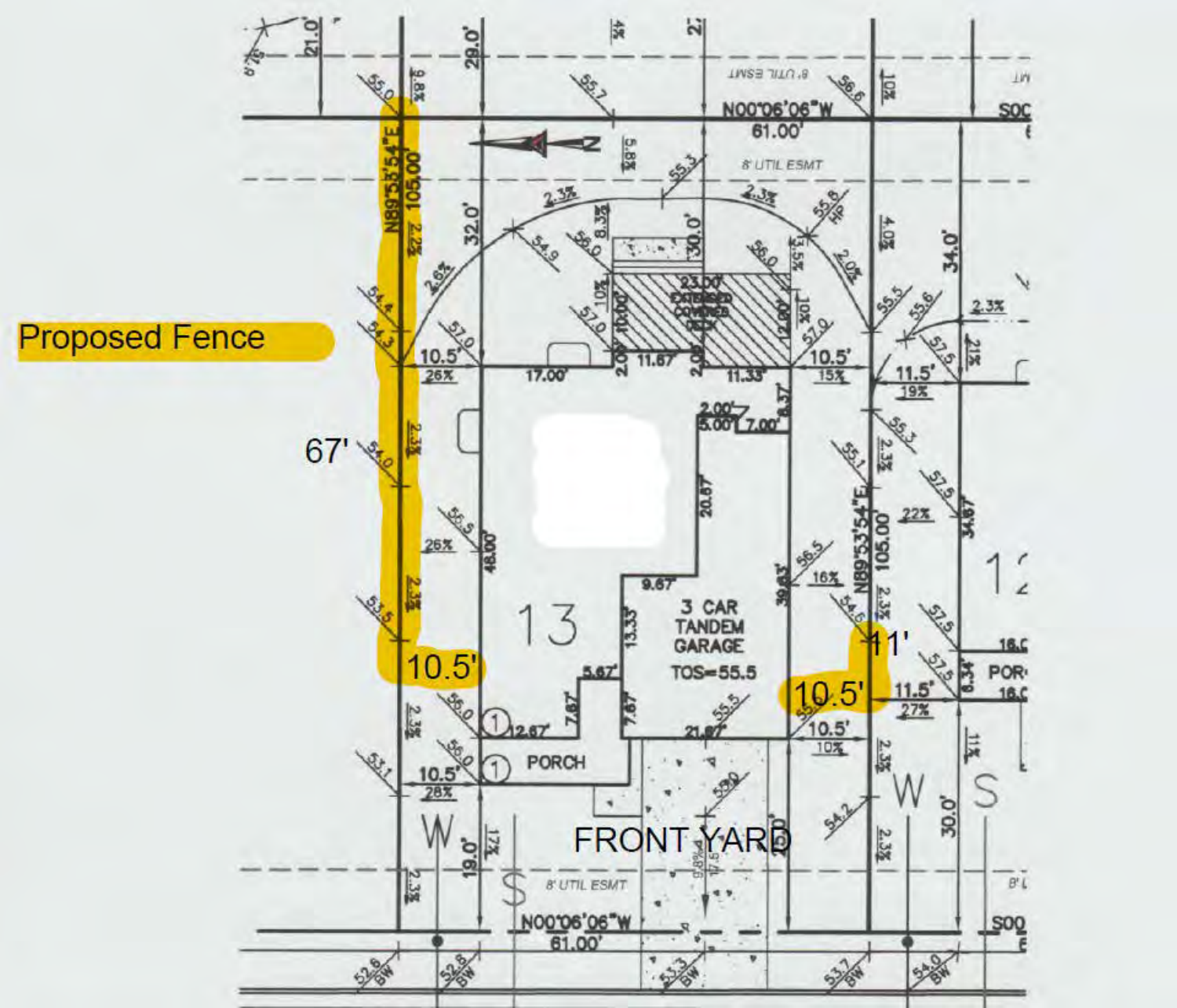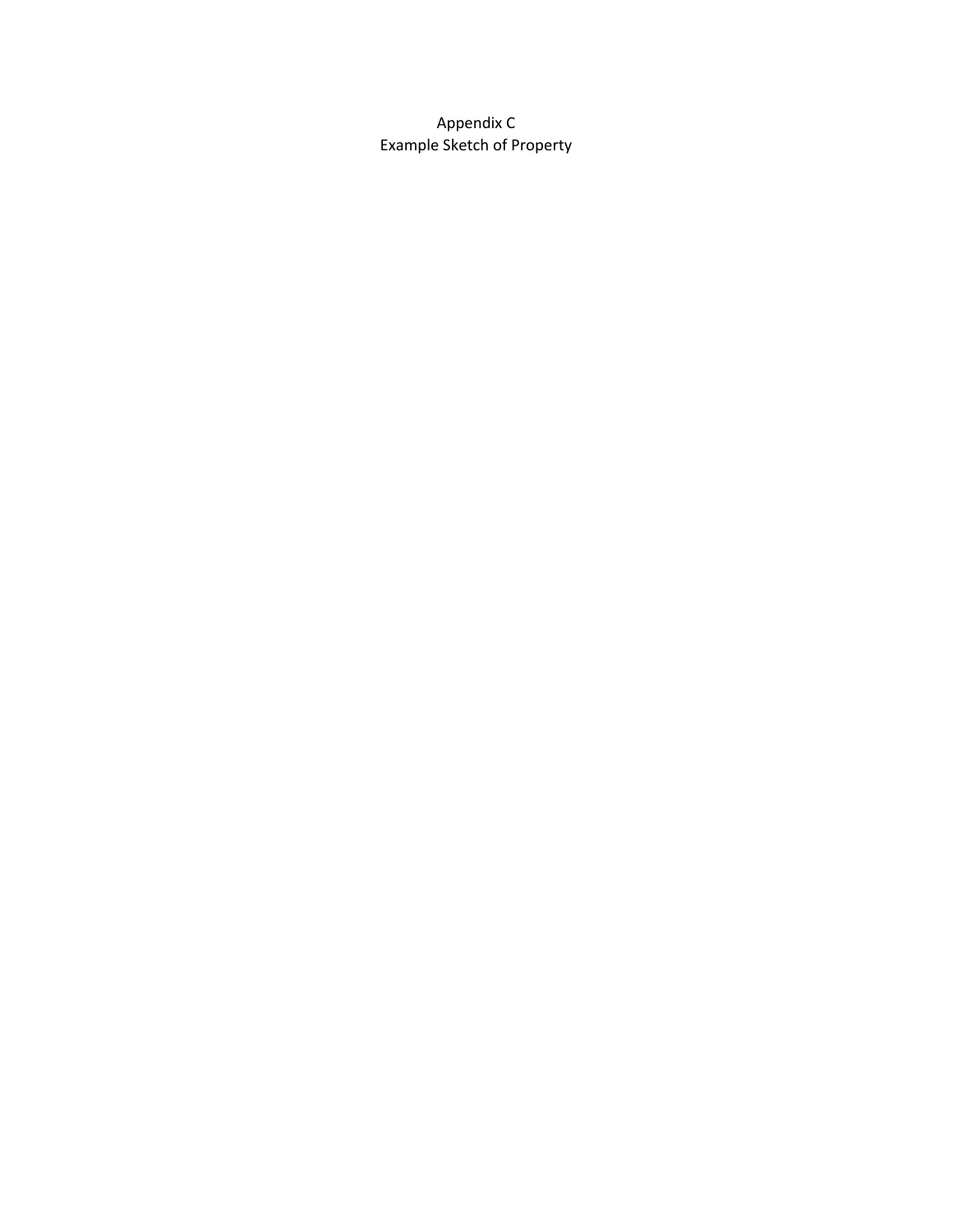Appendix C Example Sketch of Property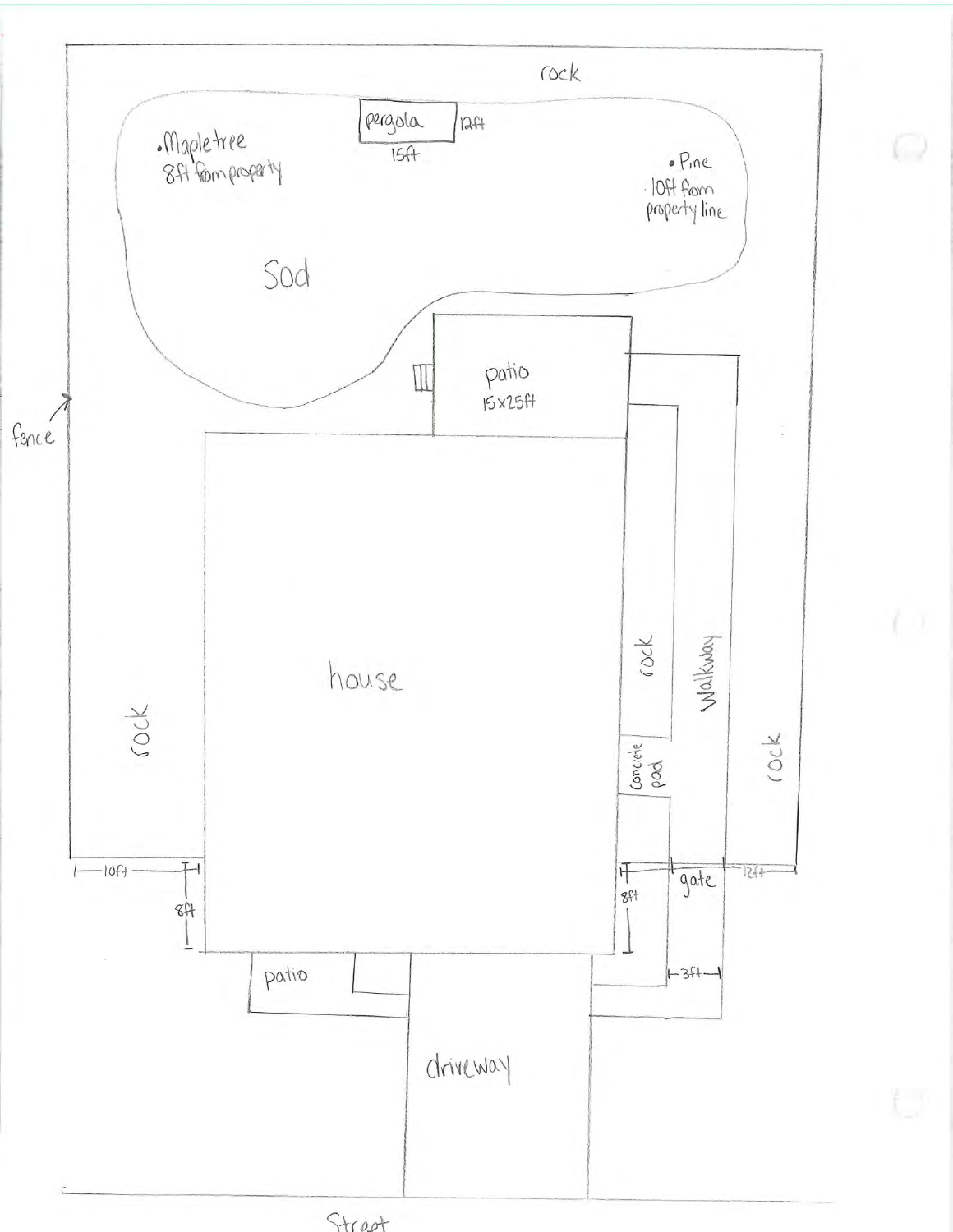

Street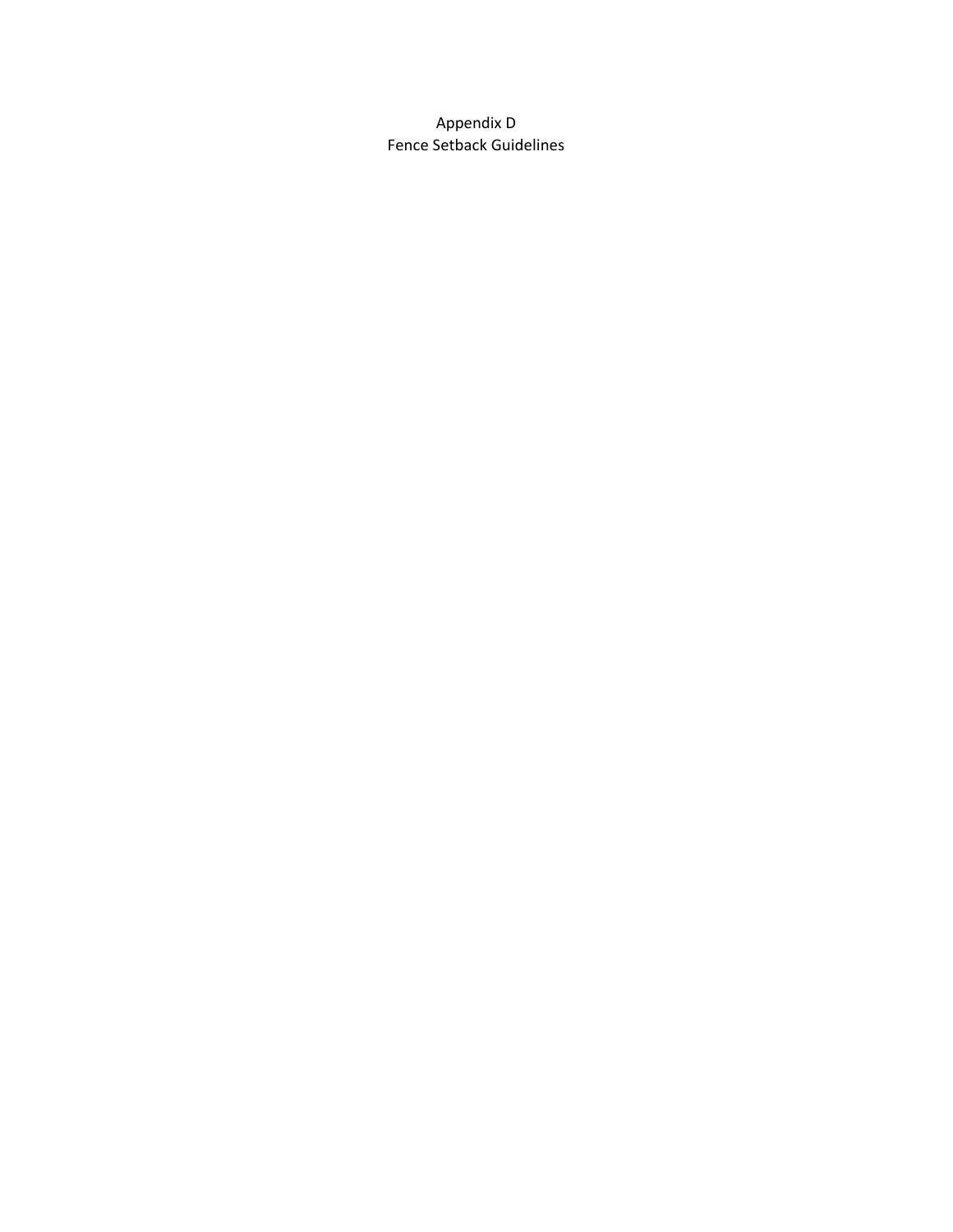Appendix D Fence Setback Guidelines